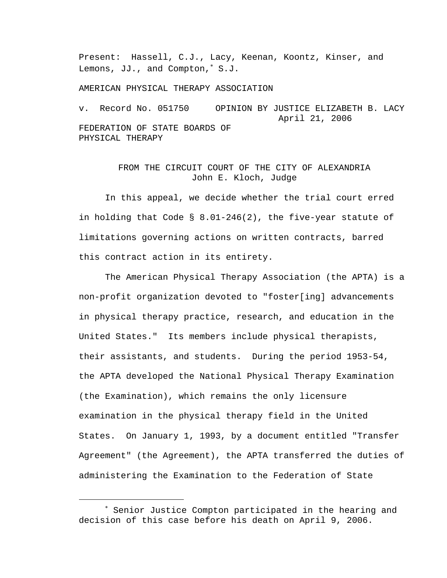Present: Hassell, C.J., Lacy, Keenan, Koontz, Kinser, and Lemons, JJ., and Compton,<sup>∗</sup> S.J.

AMERICAN PHYSICAL THERAPY ASSOCIATION

v. Record No. 051750 OPINION BY JUSTICE ELIZABETH B. LACY April 21, 2006 FEDERATION OF STATE BOARDS OF PHYSICAL THERAPY

## FROM THE CIRCUIT COURT OF THE CITY OF ALEXANDRIA John E. Kloch, Judge

In this appeal, we decide whether the trial court erred in holding that Code § 8.01-246(2), the five-year statute of limitations governing actions on written contracts, barred this contract action in its entirety.

The American Physical Therapy Association (the APTA) is a non-profit organization devoted to "foster[ing] advancements in physical therapy practice, research, and education in the United States." Its members include physical therapists, their assistants, and students. During the period 1953-54, the APTA developed the National Physical Therapy Examination (the Examination), which remains the only licensure examination in the physical therapy field in the United States. On January 1, 1993, by a document entitled "Transfer Agreement" (the Agreement), the APTA transferred the duties of administering the Examination to the Federation of State

i

<sup>∗</sup> Senior Justice Compton participated in the hearing and decision of this case before his death on April 9, 2006.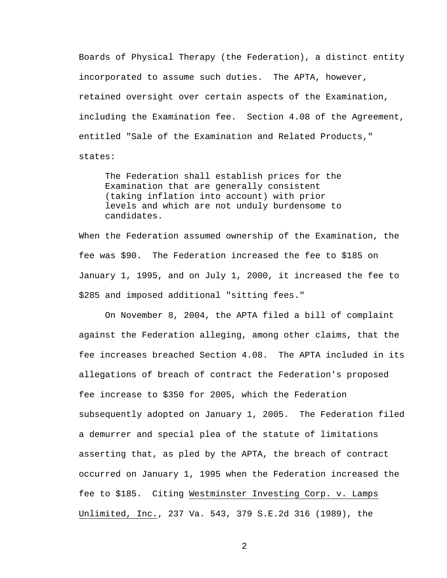Boards of Physical Therapy (the Federation), a distinct entity incorporated to assume such duties. The APTA, however, retained oversight over certain aspects of the Examination, including the Examination fee. Section 4.08 of the Agreement, entitled "Sale of the Examination and Related Products," states:

The Federation shall establish prices for the Examination that are generally consistent (taking inflation into account) with prior levels and which are not unduly burdensome to candidates.

When the Federation assumed ownership of the Examination, the fee was \$90. The Federation increased the fee to \$185 on January 1, 1995, and on July 1, 2000, it increased the fee to \$285 and imposed additional "sitting fees."

On November 8, 2004, the APTA filed a bill of complaint against the Federation alleging, among other claims, that the fee increases breached Section 4.08. The APTA included in its allegations of breach of contract the Federation's proposed fee increase to \$350 for 2005, which the Federation subsequently adopted on January 1, 2005. The Federation filed a demurrer and special plea of the statute of limitations asserting that, as pled by the APTA, the breach of contract occurred on January 1, 1995 when the Federation increased the fee to \$185. Citing Westminster Investing Corp. v. Lamps Unlimited, Inc., 237 Va. 543, 379 S.E.2d 316 (1989), the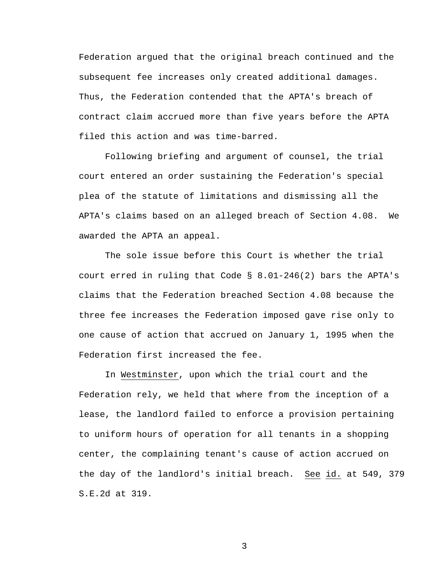Federation argued that the original breach continued and the subsequent fee increases only created additional damages. Thus, the Federation contended that the APTA's breach of contract claim accrued more than five years before the APTA filed this action and was time-barred.

Following briefing and argument of counsel, the trial court entered an order sustaining the Federation's special plea of the statute of limitations and dismissing all the APTA's claims based on an alleged breach of Section 4.08. We awarded the APTA an appeal.

 The sole issue before this Court is whether the trial court erred in ruling that Code § 8.01-246(2) bars the APTA's claims that the Federation breached Section 4.08 because the three fee increases the Federation imposed gave rise only to one cause of action that accrued on January 1, 1995 when the Federation first increased the fee.

In Westminster, upon which the trial court and the Federation rely, we held that where from the inception of a lease, the landlord failed to enforce a provision pertaining to uniform hours of operation for all tenants in a shopping center, the complaining tenant's cause of action accrued on the day of the landlord's initial breach. See id. at 549, 379 S.E.2d at 319.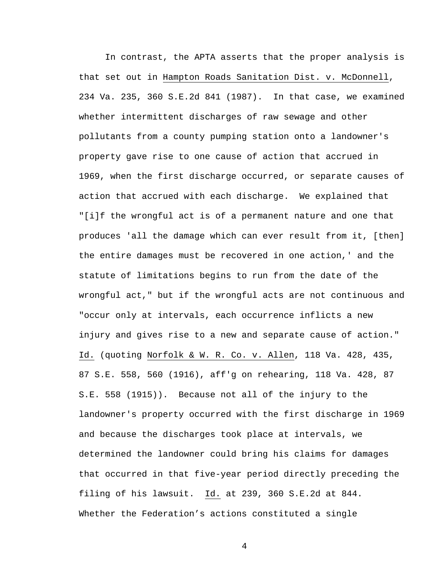In contrast, the APTA asserts that the proper analysis is that set out in Hampton Roads Sanitation Dist. v. McDonnell, 234 Va. 235, 360 S.E.2d 841 (1987). In that case, we examined whether intermittent discharges of raw sewage and other pollutants from a county pumping station onto a landowner's property gave rise to one cause of action that accrued in 1969, when the first discharge occurred, or separate causes of action that accrued with each discharge. We explained that "[i]f the wrongful act is of a permanent nature and one that produces 'all the damage which can ever result from it, [then] the entire damages must be recovered in one action,' and the statute of limitations begins to run from the date of the wrongful act," but if the wrongful acts are not continuous and "occur only at intervals, each occurrence inflicts a new injury and gives rise to a new and separate cause of action." Id. (quoting Norfolk & W. R. Co. v. Allen, 118 Va. 428, 435, 87 S.E. 558, 560 (1916), aff'g on rehearing, 118 Va. 428, 87 S.E. 558 (1915)). Because not all of the injury to the landowner's property occurred with the first discharge in 1969 and because the discharges took place at intervals, we determined the landowner could bring his claims for damages that occurred in that five-year period directly preceding the filing of his lawsuit. Id. at 239, 360 S.E.2d at 844. Whether the Federation's actions constituted a single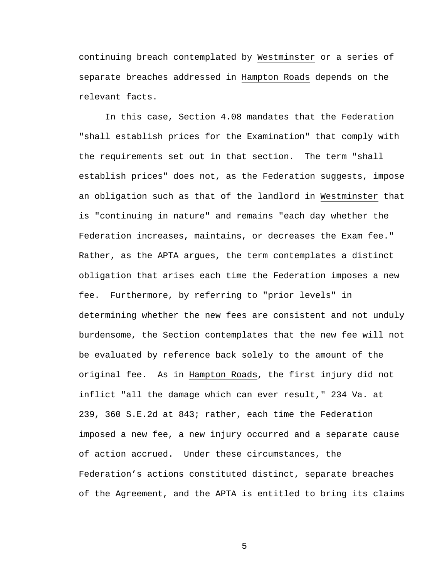continuing breach contemplated by Westminster or a series of separate breaches addressed in Hampton Roads depends on the relevant facts.

 In this case, Section 4.08 mandates that the Federation "shall establish prices for the Examination" that comply with the requirements set out in that section. The term "shall establish prices" does not, as the Federation suggests, impose an obligation such as that of the landlord in Westminster that is "continuing in nature" and remains "each day whether the Federation increases, maintains, or decreases the Exam fee." Rather, as the APTA argues, the term contemplates a distinct obligation that arises each time the Federation imposes a new fee. Furthermore, by referring to "prior levels" in determining whether the new fees are consistent and not unduly burdensome, the Section contemplates that the new fee will not be evaluated by reference back solely to the amount of the original fee.As in Hampton Roads, the first injury did not inflict "all the damage which can ever result," 234 Va. at 239, 360 S.E.2d at 843; rather, each time the Federation imposed a new fee, a new injury occurred and a separate cause of action accrued. Under these circumstances, the Federation's actions constituted distinct, separate breaches of the Agreement, and the APTA is entitled to bring its claims